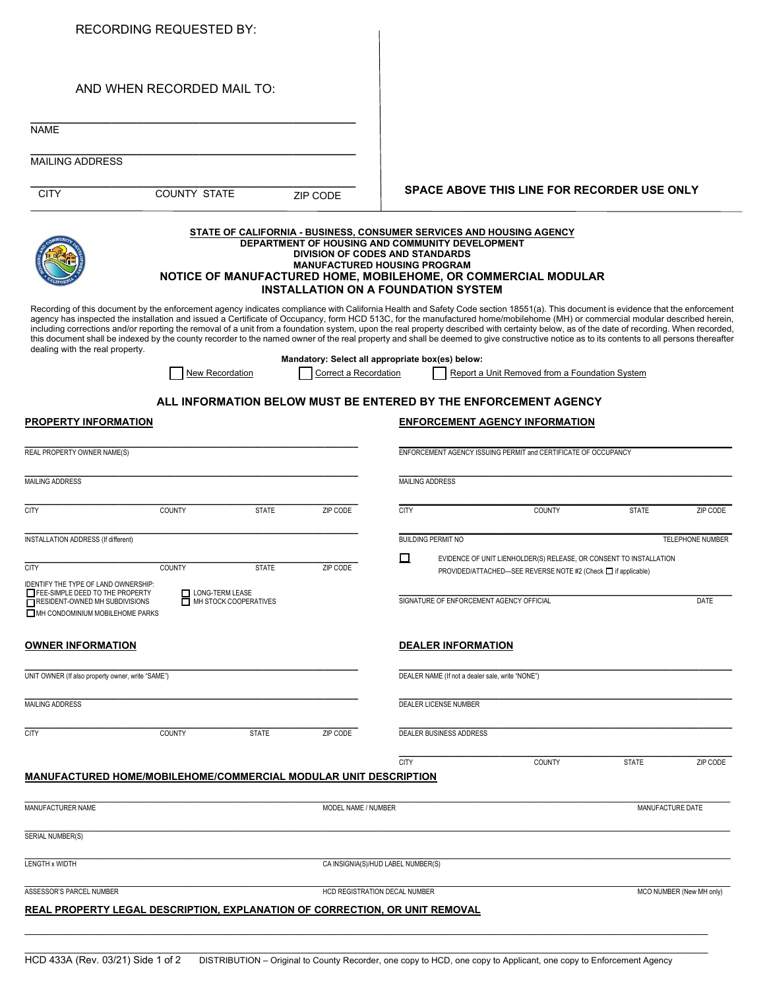| <b>RECORDING REQUESTED BY:</b>                                                                                                                                                                                                                                                                                                                                                                                                                                                                                                                                                                                                                                                                                                                                                                   |                                                                                                                                                                                                                                                                                                                          |                       |                                                                           |                                                    |                                                  |                                                                                                                                     |              |                          |  |
|--------------------------------------------------------------------------------------------------------------------------------------------------------------------------------------------------------------------------------------------------------------------------------------------------------------------------------------------------------------------------------------------------------------------------------------------------------------------------------------------------------------------------------------------------------------------------------------------------------------------------------------------------------------------------------------------------------------------------------------------------------------------------------------------------|--------------------------------------------------------------------------------------------------------------------------------------------------------------------------------------------------------------------------------------------------------------------------------------------------------------------------|-----------------------|---------------------------------------------------------------------------|----------------------------------------------------|--------------------------------------------------|-------------------------------------------------------------------------------------------------------------------------------------|--------------|--------------------------|--|
| AND WHEN RECORDED MAIL TO:                                                                                                                                                                                                                                                                                                                                                                                                                                                                                                                                                                                                                                                                                                                                                                       |                                                                                                                                                                                                                                                                                                                          |                       |                                                                           |                                                    |                                                  |                                                                                                                                     |              |                          |  |
| <b>NAME</b>                                                                                                                                                                                                                                                                                                                                                                                                                                                                                                                                                                                                                                                                                                                                                                                      |                                                                                                                                                                                                                                                                                                                          |                       |                                                                           |                                                    |                                                  |                                                                                                                                     |              |                          |  |
| <b>MAILING ADDRESS</b>                                                                                                                                                                                                                                                                                                                                                                                                                                                                                                                                                                                                                                                                                                                                                                           |                                                                                                                                                                                                                                                                                                                          |                       |                                                                           |                                                    |                                                  |                                                                                                                                     |              |                          |  |
| <b>CITY</b>                                                                                                                                                                                                                                                                                                                                                                                                                                                                                                                                                                                                                                                                                                                                                                                      | <b>COUNTY STATE</b>                                                                                                                                                                                                                                                                                                      |                       | ZIP CODE                                                                  | <b>SPACE ABOVE THIS LINE FOR RECORDER USE ONLY</b> |                                                  |                                                                                                                                     |              |                          |  |
|                                                                                                                                                                                                                                                                                                                                                                                                                                                                                                                                                                                                                                                                                                                                                                                                  | STATE OF CALIFORNIA - BUSINESS, CONSUMER SERVICES AND HOUSING AGENCY<br>DEPARTMENT OF HOUSING AND COMMUNITY DEVELOPMENT<br><b>DIVISION OF CODES AND STANDARDS</b><br><b>MANUFACTURED HOUSING PROGRAM</b><br>NOTICE OF MANUFACTURED HOME, MOBILEHOME, OR COMMERCIAL MODULAR<br><b>INSTALLATION ON A FOUNDATION SYSTEM</b> |                       |                                                                           |                                                    |                                                  |                                                                                                                                     |              |                          |  |
| Recording of this document by the enforcement agency indicates compliance with California Health and Safety Code section 18551(a). This document is evidence that the enforcement<br>agency has inspected the installation and issued a Certificate of Occupancy, form HCD 513C, for the manufactured home/mobilehome (MH) or commercial modular described herein,<br>including corrections and/or reporting the removal of a unit from a foundation system, upon the real property described with certainty below, as of the date of recording. When recorded,<br>this document shall be indexed by the county recorder to the named owner of the real property and shall be deemed to give constructive notice as to its contents to all persons thereafter<br>dealing with the real property. |                                                                                                                                                                                                                                                                                                                          |                       |                                                                           |                                                    |                                                  |                                                                                                                                     |              |                          |  |
|                                                                                                                                                                                                                                                                                                                                                                                                                                                                                                                                                                                                                                                                                                                                                                                                  | <b>New Recordation</b>                                                                                                                                                                                                                                                                                                   |                       | Mandatory: Select all appropriate box(es) below:<br>Correct a Recordation |                                                    |                                                  | Report a Unit Removed from a Foundation System                                                                                      |              |                          |  |
|                                                                                                                                                                                                                                                                                                                                                                                                                                                                                                                                                                                                                                                                                                                                                                                                  |                                                                                                                                                                                                                                                                                                                          |                       |                                                                           |                                                    |                                                  | ALL INFORMATION BELOW MUST BE ENTERED BY THE ENFORCEMENT AGENCY                                                                     |              |                          |  |
| PROPERTY INFORMATION                                                                                                                                                                                                                                                                                                                                                                                                                                                                                                                                                                                                                                                                                                                                                                             |                                                                                                                                                                                                                                                                                                                          |                       |                                                                           |                                                    |                                                  | <b>ENFORCEMENT AGENCY INFORMATION</b>                                                                                               |              |                          |  |
| REAL PROPERTY OWNER NAME(S)                                                                                                                                                                                                                                                                                                                                                                                                                                                                                                                                                                                                                                                                                                                                                                      |                                                                                                                                                                                                                                                                                                                          |                       |                                                                           |                                                    |                                                  | ENFORCEMENT AGENCY ISSUING PERMIT and CERTIFICATE OF OCCUPANCY                                                                      |              |                          |  |
| <b>MAILING ADDRESS</b>                                                                                                                                                                                                                                                                                                                                                                                                                                                                                                                                                                                                                                                                                                                                                                           |                                                                                                                                                                                                                                                                                                                          |                       |                                                                           |                                                    | <b>MAILING ADDRESS</b>                           |                                                                                                                                     |              |                          |  |
| <b>CITY</b>                                                                                                                                                                                                                                                                                                                                                                                                                                                                                                                                                                                                                                                                                                                                                                                      | COUNTY                                                                                                                                                                                                                                                                                                                   | <b>STATE</b>          | ZIP CODE                                                                  | <b>CITY</b>                                        |                                                  | <b>COUNTY</b>                                                                                                                       | <b>STATE</b> | ZIP CODE                 |  |
| <b>INSTALLATION ADDRESS (If different)</b>                                                                                                                                                                                                                                                                                                                                                                                                                                                                                                                                                                                                                                                                                                                                                       |                                                                                                                                                                                                                                                                                                                          |                       |                                                                           |                                                    | <b>BUILDING PERMIT NO</b>                        |                                                                                                                                     |              | <b>TELEPHONE NUMBER</b>  |  |
| <b>CITY</b>                                                                                                                                                                                                                                                                                                                                                                                                                                                                                                                                                                                                                                                                                                                                                                                      | COUNTY                                                                                                                                                                                                                                                                                                                   | <b>STATE</b>          | ZIP CODE                                                                  | □                                                  |                                                  | EVIDENCE OF UNIT LIENHOLDER(S) RELEASE, OR CONSENT TO INSTALLATION<br>PROVIDED/ATTACHED—SEE REVERSE NOTE #2 (Check □ if applicable) |              |                          |  |
| IDENTIFY THE TYPE OF LAND OWNERSHIP:<br>FEE-SIMPLE DEED TO THE PROPERTY<br>RESIDENT-OWNED MH SUBDIVISIONS<br>MH CONDOMINIUM MOBILEHOME PARKS                                                                                                                                                                                                                                                                                                                                                                                                                                                                                                                                                                                                                                                     | LONG-TERM LEASE                                                                                                                                                                                                                                                                                                          | MH STOCK COOPERATIVES |                                                                           |                                                    | SIGNATURE OF ENFORCEMENT AGENCY OFFICIAL         |                                                                                                                                     |              | DATE                     |  |
| <u>OWNER INFORMATION</u>                                                                                                                                                                                                                                                                                                                                                                                                                                                                                                                                                                                                                                                                                                                                                                         |                                                                                                                                                                                                                                                                                                                          |                       |                                                                           |                                                    | <b>DEALER INFORMATION</b>                        |                                                                                                                                     |              |                          |  |
| UNIT OWNER (If also property owner, write "SAME")                                                                                                                                                                                                                                                                                                                                                                                                                                                                                                                                                                                                                                                                                                                                                |                                                                                                                                                                                                                                                                                                                          |                       |                                                                           |                                                    | DEALER NAME (If not a dealer sale, write "NONE") |                                                                                                                                     |              |                          |  |
| MAILING ADDRESS                                                                                                                                                                                                                                                                                                                                                                                                                                                                                                                                                                                                                                                                                                                                                                                  |                                                                                                                                                                                                                                                                                                                          |                       |                                                                           |                                                    | DEALER LICENSE NUMBER                            |                                                                                                                                     |              |                          |  |
| <b>CITY</b>                                                                                                                                                                                                                                                                                                                                                                                                                                                                                                                                                                                                                                                                                                                                                                                      | <b>COUNTY</b>                                                                                                                                                                                                                                                                                                            | <b>STATE</b>          | ZIP CODE                                                                  |                                                    | <b>DEALER BUSINESS ADDRESS</b>                   |                                                                                                                                     |              |                          |  |
| MANUFACTURED HOME/MOBILEHOME/COMMERCIAL MODULAR UNIT DESCRIPTION                                                                                                                                                                                                                                                                                                                                                                                                                                                                                                                                                                                                                                                                                                                                 |                                                                                                                                                                                                                                                                                                                          |                       |                                                                           | <b>CITY</b>                                        |                                                  | <b>COUNTY</b>                                                                                                                       | <b>STATE</b> | ZIP CODE                 |  |
| MANUFACTURER NAME                                                                                                                                                                                                                                                                                                                                                                                                                                                                                                                                                                                                                                                                                                                                                                                |                                                                                                                                                                                                                                                                                                                          |                       | MODEL NAME / NUMBER                                                       |                                                    |                                                  |                                                                                                                                     |              | MANUFACTURE DATE         |  |
| SERIAL NUMBER(S)                                                                                                                                                                                                                                                                                                                                                                                                                                                                                                                                                                                                                                                                                                                                                                                 |                                                                                                                                                                                                                                                                                                                          |                       |                                                                           |                                                    |                                                  |                                                                                                                                     |              |                          |  |
| <b>LENGTH x WIDTH</b>                                                                                                                                                                                                                                                                                                                                                                                                                                                                                                                                                                                                                                                                                                                                                                            |                                                                                                                                                                                                                                                                                                                          |                       |                                                                           | CA INSIGNIA(S)/HUD LABEL NUMBER(S)                 |                                                  |                                                                                                                                     |              |                          |  |
| ASSESSOR'S PARCEL NUMBER                                                                                                                                                                                                                                                                                                                                                                                                                                                                                                                                                                                                                                                                                                                                                                         |                                                                                                                                                                                                                                                                                                                          |                       |                                                                           | HCD REGISTRATION DECAL NUMBER                      |                                                  |                                                                                                                                     |              | MCO NUMBER (New MH only) |  |
| <u>REAL PROPERTY LEGAL DESCRIPTION, EXPLANATION OF CORRECTION, OR UNIT REMOVAL</u>                                                                                                                                                                                                                                                                                                                                                                                                                                                                                                                                                                                                                                                                                                               |                                                                                                                                                                                                                                                                                                                          |                       |                                                                           |                                                    |                                                  |                                                                                                                                     |              |                          |  |